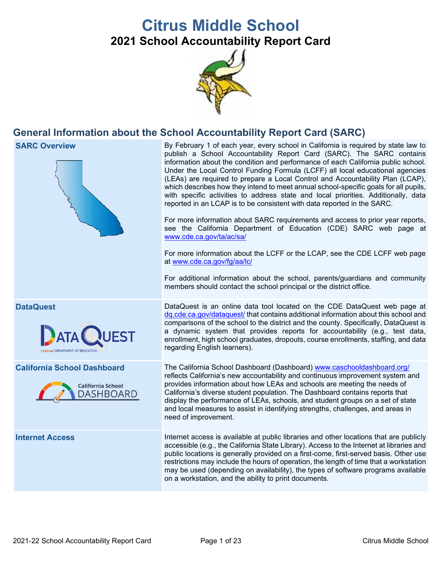# **Citrus Middle School**

**2021 School Accountability Report Card**



## **General Information about the School Accountability Report Card (SARC)**

**SARC Overview** By February 1 of each year, every school in California is required by state law to publish a School Accountability Report Card (SARC). The SARC contains information about the condition and performance of each California public school. Under the Local Control Funding Formula (LCFF) all local educational agencies (LEAs) are required to prepare a Local Control and Accountability Plan (LCAP), which describes how they intend to meet annual school-specific goals for all pupils, with specific activities to address state and local priorities. Additionally, data reported in an LCAP is to be consistent with data reported in the SARC. For more information about SARC requirements and access to prior year reports, see the California Department of Education (CDE) SARC web page at [www.cde.ca.gov/ta/ac/sa/](https://www.cde.ca.gov/ta/ac/sa/) For more information about the LCFF or the LCAP, see the CDE LCFF web page at [www.cde.ca.gov/fg/aa/lc/](https://www.cde.ca.gov/fg/aa/lc/) For additional information about the school, parents/guardians and community members should contact the school principal or the district office. **DataQuest** DataQuest is an online data tool located on the CDE DataQuest web page at [dq.cde.ca.gov/dataquest/](https://dq.cde.ca.gov/dataquest/) that contains additional information about this school and comparisons of the school to the district and the county. Specifically, DataQuest is a dynamic system that provides reports for accountability (e.g., test data, **ATA** enrollment, high school graduates, dropouts, course enrollments, staffing, and data regarding English learners). **California School Dashboard** The California School Dashboard (Dashboard) [www.caschooldashboard.org/](http://www.caschooldashboard.org/) reflects California's new accountability and continuous improvement system and provides information about how LEAs and schools are meeting the needs of **California School** California's diverse student population. The Dashboard contains reports that **DASHBOARD** display the performance of LEAs, schools, and student groups on a set of state and local measures to assist in identifying strengths, challenges, and areas in need of improvement. **Internet Access** Internet access is available at public libraries and other locations that are publicly accessible (e.g., the California State Library). Access to the Internet at libraries and public locations is generally provided on a first-come, first-served basis. Other use restrictions may include the hours of operation, the length of time that a workstation may be used (depending on availability), the types of software programs available on a workstation, and the ability to print documents.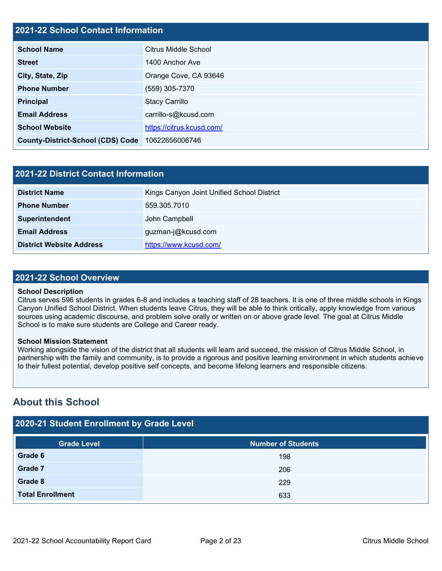#### **2021-22 School Contact Information**

| <b>School Name</b>                       | <b>Citrus Middle School</b> |  |  |  |  |
|------------------------------------------|-----------------------------|--|--|--|--|
| <b>Street</b>                            | 1400 Anchor Ave             |  |  |  |  |
| City, State, Zip                         | Orange Cove, CA 93646       |  |  |  |  |
| <b>Phone Number</b>                      | (559) 305-7370              |  |  |  |  |
| <b>Principal</b>                         | <b>Stacy Carrillo</b>       |  |  |  |  |
| <b>Email Address</b>                     | carrillo-s@kcusd.com        |  |  |  |  |
| <b>School Website</b>                    | https://citrus.kcusd.com/   |  |  |  |  |
| <b>County-District-School (CDS) Code</b> | 10622656006746              |  |  |  |  |

| 2021-22 District Contact Information |                                            |  |  |  |  |
|--------------------------------------|--------------------------------------------|--|--|--|--|
| <b>District Name</b>                 | Kings Canyon Joint Unified School District |  |  |  |  |
| <b>Phone Number</b>                  | 559.305.7010                               |  |  |  |  |
| Superintendent                       | John Campbell                              |  |  |  |  |
| <b>Email Address</b>                 | guzman-j@kcusd.com                         |  |  |  |  |
| <b>District Website Address</b>      | https://www.kcusd.com/                     |  |  |  |  |

#### **2021-22 School Overview**

#### **School Description**

Citrus serves 596 students in grades 6-8 and includes a teaching staff of 28 teachers. It is one of three middle schools in Kings Canyon Unified School District. When students leave Citrus, they will be able to think critically, apply knowledge from various sources using academic discourse, and problem solve orally or written on or above grade level. The goal at Citrus Middle School is to make sure students are College and Career ready.

#### **School Mission Statement**

Working alongside the vision of the district that all students will learn and succeed, the mission of Citrus Middle School, in partnership with the family and community, is to provide a rigorous and positive learning environment in which students achieve to their fullest potential, develop positive self concepts, and become lifelong learners and responsible citizens.

## **About this School**

### **2020-21 Student Enrollment by Grade Level**

| <b>Grade Level</b>      | <b>Number of Students</b> |
|-------------------------|---------------------------|
| Grade 6                 | 198                       |
| Grade 7                 | 206                       |
| Grade 8                 | 229                       |
| <b>Total Enrollment</b> | 633                       |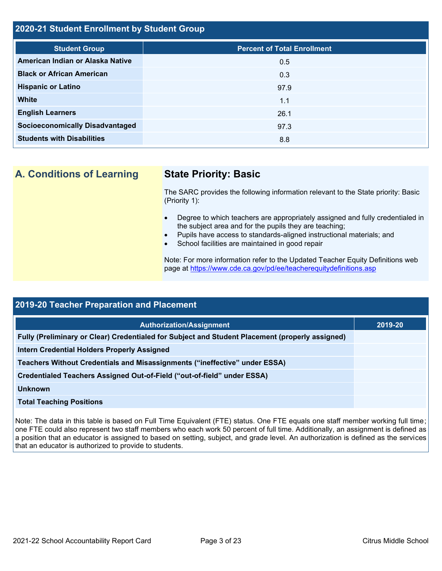#### **2020-21 Student Enrollment by Student Group**

| <b>Student Group</b>                   | <b>Percent of Total Enrollment</b> |
|----------------------------------------|------------------------------------|
| American Indian or Alaska Native       | 0.5                                |
| <b>Black or African American</b>       | 0.3                                |
| <b>Hispanic or Latino</b>              | 97.9                               |
| <b>White</b>                           | 1.1                                |
| <b>English Learners</b>                | 26.1                               |
| <b>Socioeconomically Disadvantaged</b> | 97.3                               |
| <b>Students with Disabilities</b>      | 8.8                                |
|                                        |                                    |

**A. Conditions of Learning State Priority: Basic**

The SARC provides the following information relevant to the State priority: Basic (Priority 1):

- Degree to which teachers are appropriately assigned and fully credentialed in the subject area and for the pupils they are teaching;
	- Pupils have access to standards-aligned instructional materials; and
- School facilities are maintained in good repair

Note: For more information refer to the Updated Teacher Equity Definitions web page at<https://www.cde.ca.gov/pd/ee/teacherequitydefinitions.asp>

| <b>2019-20 Teacher Preparation and Placement</b>                                                |         |  |  |  |
|-------------------------------------------------------------------------------------------------|---------|--|--|--|
| <b>Authorization/Assignment</b>                                                                 | 2019-20 |  |  |  |
| Fully (Preliminary or Clear) Credentialed for Subject and Student Placement (properly assigned) |         |  |  |  |
| <b>Intern Credential Holders Properly Assigned</b>                                              |         |  |  |  |
| Teachers Without Credentials and Misassignments ("ineffective" under ESSA)                      |         |  |  |  |
| Credentialed Teachers Assigned Out-of-Field ("out-of-field" under ESSA)                         |         |  |  |  |
| <b>Unknown</b>                                                                                  |         |  |  |  |
| <b>Total Teaching Positions</b>                                                                 |         |  |  |  |

Note: The data in this table is based on Full Time Equivalent (FTE) status. One FTE equals one staff member working full time; one FTE could also represent two staff members who each work 50 percent of full time. Additionally, an assignment is defined as a position that an educator is assigned to based on setting, subject, and grade level. An authorization is defined as the services that an educator is authorized to provide to students.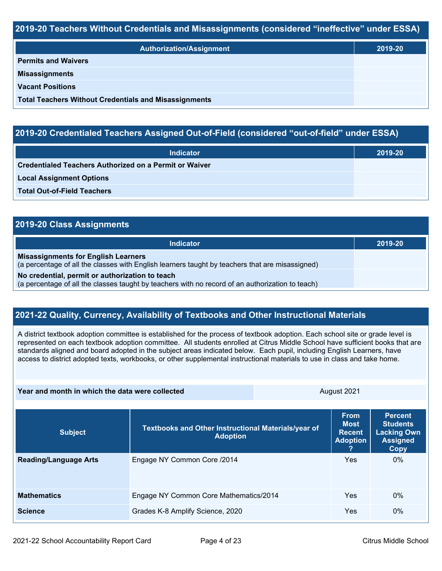#### **2019-20 Teachers Without Credentials and Misassignments (considered "ineffective" under ESSA)**

| <b>Authorization/Assignment</b>                              | 2019-20 |
|--------------------------------------------------------------|---------|
| <b>Permits and Waivers</b>                                   |         |
| <b>Misassignments</b>                                        |         |
| <b>Vacant Positions</b>                                      |         |
| <b>Total Teachers Without Credentials and Misassignments</b> |         |

### **2019-20 Credentialed Teachers Assigned Out-of-Field (considered "out-of-field" under ESSA)**

| <b>Indicator</b>                                       | 2019-20 |
|--------------------------------------------------------|---------|
| Credentialed Teachers Authorized on a Permit or Waiver |         |
| <b>Local Assignment Options</b>                        |         |
| <b>Total Out-of-Field Teachers</b>                     |         |

## **2019-20 Class Assignments Indicator 2019-20 Misassignments for English Learners** (a percentage of all the classes with English learners taught by teachers that are misassigned) **No credential, permit or authorization to teach** (a percentage of all the classes taught by teachers with no record of an authorization to teach)

#### **2021-22 Quality, Currency, Availability of Textbooks and Other Instructional Materials**

A district textbook adoption committee is established for the process of textbook adoption. Each school site or grade level is represented on each textbook adoption committee. All students enrolled at Citrus Middle School have sufficient books that are standards aligned and board adopted in the subject areas indicated below. Each pupil, including English Learners, have access to district adopted texts, workbooks, or other supplemental instructional materials to use in class and take home.

| Year and month in which the data were collected | August 2021                                                            |  |                                                         |                                                                                    |
|-------------------------------------------------|------------------------------------------------------------------------|--|---------------------------------------------------------|------------------------------------------------------------------------------------|
| <b>Subject</b>                                  | Textbooks and Other Instructional Materials/year of<br><b>Adoption</b> |  | <b>From</b><br>Most<br><b>Recent</b><br><b>Adoption</b> | <b>Percent</b><br><b>Students</b><br><b>Lacking Own</b><br><b>Assigned</b><br>Copy |
| <b>Reading/Language Arts</b>                    | Engage NY Common Core /2014                                            |  | Yes                                                     | $0\%$                                                                              |
| <b>Mathematics</b>                              | Engage NY Common Core Mathematics/2014                                 |  | Yes                                                     | $0\%$                                                                              |
| <b>Science</b>                                  | Grades K-8 Amplify Science, 2020                                       |  | Yes                                                     | $0\%$                                                                              |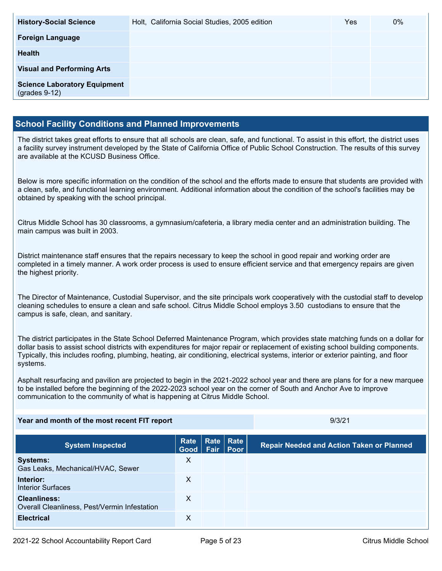| <b>History-Social Science</b>                          | Holt, California Social Studies, 2005 edition | <b>Yes</b> | $0\%$ |
|--------------------------------------------------------|-----------------------------------------------|------------|-------|
| <b>Foreign Language</b>                                |                                               |            |       |
| <b>Health</b>                                          |                                               |            |       |
| <b>Visual and Performing Arts</b>                      |                                               |            |       |
| <b>Science Laboratory Equipment</b><br>$(grades 9-12)$ |                                               |            |       |

#### **School Facility Conditions and Planned Improvements**

The district takes great efforts to ensure that all schools are clean, safe, and functional. To assist in this effort, the district uses a facility survey instrument developed by the State of California Office of Public School Construction. The results of this survey are available at the KCUSD Business Office.

Below is more specific information on the condition of the school and the efforts made to ensure that students are provided with a clean, safe, and functional learning environment. Additional information about the condition of the school's facilities may be obtained by speaking with the school principal.

Citrus Middle School has 30 classrooms, a gymnasium/cafeteria, a library media center and an administration building. The main campus was built in 2003.

District maintenance staff ensures that the repairs necessary to keep the school in good repair and working order are completed in a timely manner. A work order process is used to ensure efficient service and that emergency repairs are given the highest priority.

The Director of Maintenance, Custodial Supervisor, and the site principals work cooperatively with the custodial staff to develop cleaning schedules to ensure a clean and safe school. Citrus Middle School employs 3.50 custodians to ensure that the campus is safe, clean, and sanitary.

The district participates in the State School Deferred Maintenance Program, which provides state matching funds on a dollar for dollar basis to assist school districts with expenditures for major repair or replacement of existing school building components. Typically, this includes roofing, plumbing, heating, air conditioning, electrical systems, interior or exterior painting, and floor systems.

Asphalt resurfacing and pavilion are projected to begin in the 2021-2022 school year and there are plans for for a new marquee to be installed before the beginning of the 2022-2023 school year on the corner of South and Anchor Ave to improve communication to the community of what is happening at Citrus Middle School.

#### **Year and month of the most recent FIT report** And Allen Andrew Box 19/3/21

| <b>System Inspected</b>                                             | <b>Rate</b><br>Good Fair Poor | Rate Rate | <b>Repair Needed and Action Taken or Planned</b> |
|---------------------------------------------------------------------|-------------------------------|-----------|--------------------------------------------------|
| <b>Systems:</b><br>Gas Leaks, Mechanical/HVAC, Sewer                | X                             |           |                                                  |
| Interior:<br><b>Interior Surfaces</b>                               | $\mathsf{X}$                  |           |                                                  |
| <b>Cleanliness:</b><br>Overall Cleanliness, Pest/Vermin Infestation | X                             |           |                                                  |
| <b>Electrical</b>                                                   | х                             |           |                                                  |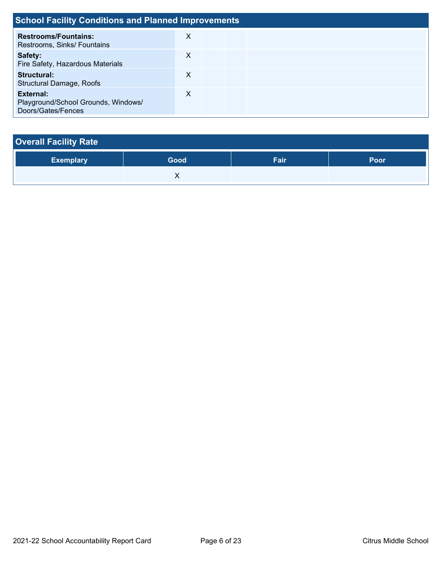| <b>School Facility Conditions and Planned Improvements</b>             |   |  |  |  |  |
|------------------------------------------------------------------------|---|--|--|--|--|
| <b>Restrooms/Fountains:</b><br>Restrooms, Sinks/ Fountains             | X |  |  |  |  |
| Safety:<br>Fire Safety, Hazardous Materials                            | X |  |  |  |  |
| <b>Structural:</b><br><b>Structural Damage, Roofs</b>                  | X |  |  |  |  |
| External:<br>Playground/School Grounds, Windows/<br>Doors/Gates/Fences | X |  |  |  |  |

| <b>Overall Facility Rate</b> |      |      |      |  |  |  |
|------------------------------|------|------|------|--|--|--|
| <b>Exemplary</b>             | Good | Fair | Poor |  |  |  |
|                              |      |      |      |  |  |  |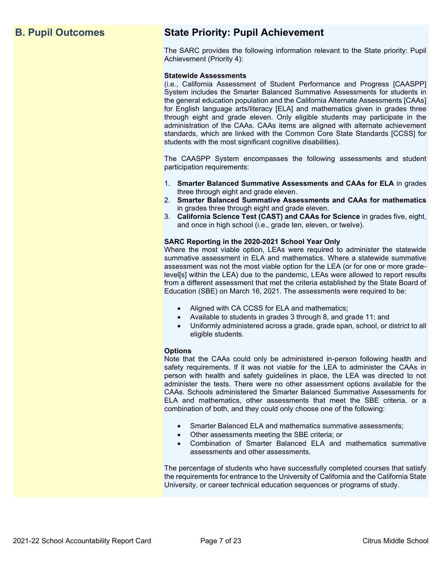## **B. Pupil Outcomes State Priority: Pupil Achievement**

The SARC provides the following information relevant to the State priority: Pupil Achievement (Priority 4):

#### **Statewide Assessments**

(i.e., California Assessment of Student Performance and Progress [CAASPP] System includes the Smarter Balanced Summative Assessments for students in the general education population and the California Alternate Assessments [CAAs] for English language arts/literacy [ELA] and mathematics given in grades three through eight and grade eleven. Only eligible students may participate in the administration of the CAAs. CAAs items are aligned with alternate achievement standards, which are linked with the Common Core State Standards [CCSS] for students with the most significant cognitive disabilities).

The CAASPP System encompasses the following assessments and student participation requirements:

- 1. **Smarter Balanced Summative Assessments and CAAs for ELA** in grades three through eight and grade eleven.
- 2. **Smarter Balanced Summative Assessments and CAAs for mathematics** in grades three through eight and grade eleven.
- 3. **California Science Test (CAST) and CAAs for Science** in grades five, eight, and once in high school (i.e., grade ten, eleven, or twelve).

#### **SARC Reporting in the 2020-2021 School Year Only**

Where the most viable option, LEAs were required to administer the statewide summative assessment in ELA and mathematics. Where a statewide summative assessment was not the most viable option for the LEA (or for one or more gradelevel[s] within the LEA) due to the pandemic, LEAs were allowed to report results from a different assessment that met the criteria established by the State Board of Education (SBE) on March 16, 2021. The assessments were required to be:

- Aligned with CA CCSS for ELA and mathematics;
- Available to students in grades 3 through 8, and grade 11; and
- Uniformly administered across a grade, grade span, school, or district to all eligible students.

#### **Options**

Note that the CAAs could only be administered in-person following health and safety requirements. If it was not viable for the LEA to administer the CAAs in person with health and safety guidelines in place, the LEA was directed to not administer the tests. There were no other assessment options available for the CAAs. Schools administered the Smarter Balanced Summative Assessments for ELA and mathematics, other assessments that meet the SBE criteria, or a combination of both, and they could only choose one of the following:

- Smarter Balanced ELA and mathematics summative assessments;
- Other assessments meeting the SBE criteria; or
- Combination of Smarter Balanced ELA and mathematics summative assessments and other assessments.

The percentage of students who have successfully completed courses that satisfy the requirements for entrance to the University of California and the California State University, or career technical education sequences or programs of study.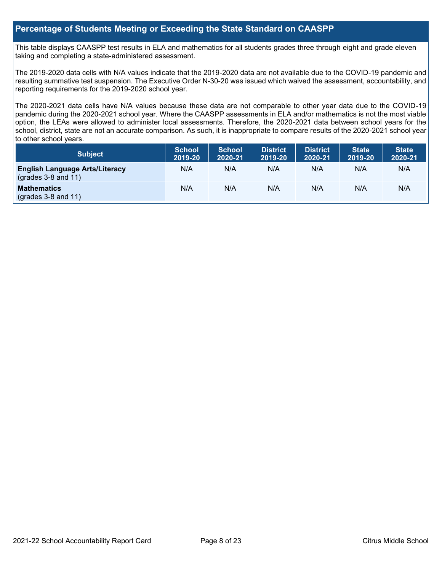#### **Percentage of Students Meeting or Exceeding the State Standard on CAASPP**

This table displays CAASPP test results in ELA and mathematics for all students grades three through eight and grade eleven taking and completing a state-administered assessment.

The 2019-2020 data cells with N/A values indicate that the 2019-2020 data are not available due to the COVID-19 pandemic and resulting summative test suspension. The Executive Order N-30-20 was issued which waived the assessment, accountability, and reporting requirements for the 2019-2020 school year.

The 2020-2021 data cells have N/A values because these data are not comparable to other year data due to the COVID-19 pandemic during the 2020-2021 school year. Where the CAASPP assessments in ELA and/or mathematics is not the most viable option, the LEAs were allowed to administer local assessments. Therefore, the 2020-2021 data between school years for the school, district, state are not an accurate comparison. As such, it is inappropriate to compare results of the 2020-2021 school year to other school years.

| <b>Subject</b>                                                       | <b>School</b><br>2019-20 | <b>School</b><br>2020-21 | <b>District</b><br>2019-20 | <b>District</b><br>2020-21 | <b>State</b><br>2019-20 | <b>State</b><br>2020-21 |
|----------------------------------------------------------------------|--------------------------|--------------------------|----------------------------|----------------------------|-------------------------|-------------------------|
| <b>English Language Arts/Literacy</b><br>$\left($ grades 3-8 and 11) | N/A                      | N/A                      | N/A                        | N/A                        | N/A                     | N/A                     |
| <b>Mathematics</b><br>$($ grades 3-8 and 11 $)$                      | N/A                      | N/A                      | N/A                        | N/A                        | N/A                     | N/A                     |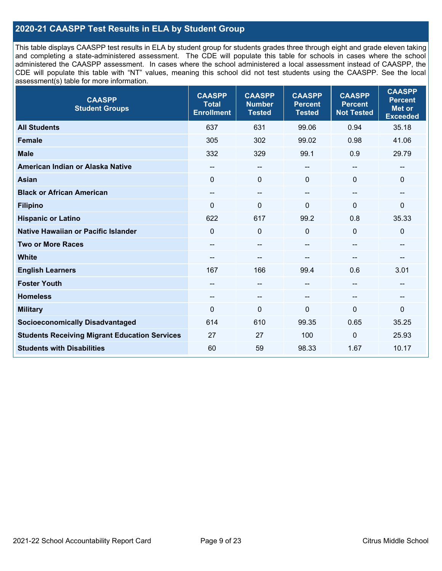### **2020-21 CAASPP Test Results in ELA by Student Group**

This table displays CAASPP test results in ELA by student group for students grades three through eight and grade eleven taking and completing a state-administered assessment. The CDE will populate this table for schools in cases where the school administered the CAASPP assessment. In cases where the school administered a local assessment instead of CAASPP, the CDE will populate this table with "NT" values, meaning this school did not test students using the CAASPP. See the local assessment(s) table for more information.

| <b>CAASPP</b><br><b>Student Groups</b>               | <b>CAASPP</b><br><b>Total</b><br><b>Enrollment</b> | <b>CAASPP</b><br><b>Number</b><br><b>Tested</b> | <b>CAASPP</b><br><b>Percent</b><br><b>Tested</b> | <b>CAASPP</b><br><b>Percent</b><br><b>Not Tested</b> | <b>CAASPP</b><br><b>Percent</b><br><b>Met or</b><br><b>Exceeded</b> |
|------------------------------------------------------|----------------------------------------------------|-------------------------------------------------|--------------------------------------------------|------------------------------------------------------|---------------------------------------------------------------------|
| <b>All Students</b>                                  | 637                                                | 631                                             | 99.06                                            | 0.94                                                 | 35.18                                                               |
| <b>Female</b>                                        | 305                                                | 302                                             | 99.02                                            | 0.98                                                 | 41.06                                                               |
| <b>Male</b>                                          | 332                                                | 329                                             | 99.1                                             | 0.9                                                  | 29.79                                                               |
| American Indian or Alaska Native                     | $\qquad \qquad -$                                  | $\overline{\phantom{a}}$                        | $-$                                              | $-$                                                  | --                                                                  |
| <b>Asian</b>                                         | $\mathbf{0}$                                       | $\mathbf 0$                                     | $\mathbf{0}$                                     | $\Omega$                                             | $\mathbf 0$                                                         |
| <b>Black or African American</b>                     | --                                                 | $\overline{\phantom{m}}$                        | --                                               | $\overline{\phantom{a}}$                             | --                                                                  |
| <b>Filipino</b>                                      | $\Omega$                                           | $\mathbf 0$                                     | $\Omega$                                         | $\Omega$                                             | $\mathbf 0$                                                         |
| <b>Hispanic or Latino</b>                            | 622                                                | 617                                             | 99.2                                             | 0.8                                                  | 35.33                                                               |
| <b>Native Hawaiian or Pacific Islander</b>           | $\mathbf 0$                                        | $\mathbf 0$                                     | $\Omega$                                         | $\mathbf{0}$                                         | $\mathbf 0$                                                         |
| <b>Two or More Races</b>                             | $- -$                                              | $\overline{\phantom{a}}$                        | --                                               | --                                                   | --                                                                  |
| <b>White</b>                                         | --                                                 | --                                              | --                                               | --                                                   | --                                                                  |
| <b>English Learners</b>                              | 167                                                | 166                                             | 99.4                                             | 0.6                                                  | 3.01                                                                |
| <b>Foster Youth</b>                                  | --                                                 | $\qquad \qquad -$                               | --                                               | --                                                   | --                                                                  |
| <b>Homeless</b>                                      | --                                                 | $\overline{\phantom{m}}$                        | --                                               | $\overline{\phantom{a}}$                             | --                                                                  |
| <b>Military</b>                                      | $\Omega$                                           | $\mathbf 0$                                     | 0                                                | $\Omega$                                             | 0                                                                   |
| <b>Socioeconomically Disadvantaged</b>               | 614                                                | 610                                             | 99.35                                            | 0.65                                                 | 35.25                                                               |
| <b>Students Receiving Migrant Education Services</b> | 27                                                 | 27                                              | 100                                              | 0                                                    | 25.93                                                               |
| <b>Students with Disabilities</b>                    | 60                                                 | 59                                              | 98.33                                            | 1.67                                                 | 10.17                                                               |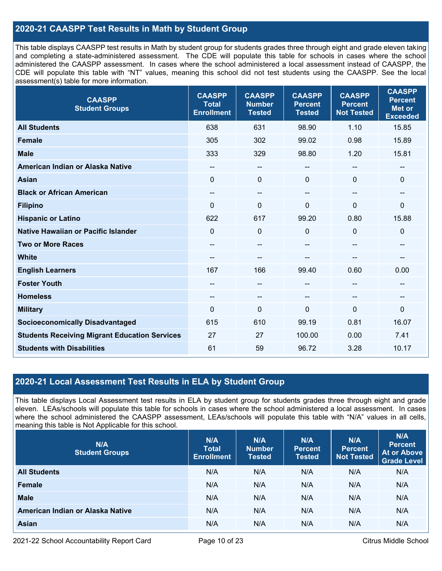### **2020-21 CAASPP Test Results in Math by Student Group**

This table displays CAASPP test results in Math by student group for students grades three through eight and grade eleven taking and completing a state-administered assessment. The CDE will populate this table for schools in cases where the school administered the CAASPP assessment. In cases where the school administered a local assessment instead of CAASPP, the CDE will populate this table with "NT" values, meaning this school did not test students using the CAASPP. See the local assessment(s) table for more information.

| <b>CAASPP</b><br><b>Student Groups</b>               | <b>CAASPP</b><br><b>Total</b><br><b>Enrollment</b> | <b>CAASPP</b><br><b>Number</b><br><b>Tested</b> | <b>CAASPP</b><br><b>Percent</b><br><b>Tested</b> | <b>CAASPP</b><br><b>Percent</b><br><b>Not Tested</b> | <b>CAASPP</b><br><b>Percent</b><br><b>Met or</b><br><b>Exceeded</b> |
|------------------------------------------------------|----------------------------------------------------|-------------------------------------------------|--------------------------------------------------|------------------------------------------------------|---------------------------------------------------------------------|
| <b>All Students</b>                                  | 638                                                | 631                                             | 98.90                                            | 1.10                                                 | 15.85                                                               |
| <b>Female</b>                                        | 305                                                | 302                                             | 99.02                                            | 0.98                                                 | 15.89                                                               |
| <b>Male</b>                                          | 333                                                | 329                                             | 98.80                                            | 1.20                                                 | 15.81                                                               |
| American Indian or Alaska Native                     | --                                                 | --                                              | $\overline{\phantom{a}}$                         | $\overline{\phantom{a}}$                             | $\overline{\phantom{a}}$                                            |
| <b>Asian</b>                                         | $\mathbf 0$                                        | 0                                               | $\mathbf 0$                                      | $\Omega$                                             | $\mathbf 0$                                                         |
| <b>Black or African American</b>                     | --                                                 | $\overline{\phantom{m}}$                        | $\hspace{0.05cm}$ – $\hspace{0.05cm}$            | --                                                   | $\overline{\phantom{a}}$                                            |
| <b>Filipino</b>                                      | $\Omega$                                           | $\mathbf 0$                                     | $\mathbf{0}$                                     | $\Omega$                                             | $\mathbf 0$                                                         |
| <b>Hispanic or Latino</b>                            | 622                                                | 617                                             | 99.20                                            | 0.80                                                 | 15.88                                                               |
| <b>Native Hawaiian or Pacific Islander</b>           | $\mathbf 0$                                        | 0                                               | $\mathbf 0$                                      | 0                                                    | $\mathbf 0$                                                         |
| <b>Two or More Races</b>                             | $\qquad \qquad -$                                  | --                                              | --                                               | --                                                   | $\overline{\phantom{a}}$                                            |
| <b>White</b>                                         | --                                                 | --                                              | --                                               |                                                      | --                                                                  |
| <b>English Learners</b>                              | 167                                                | 166                                             | 99.40                                            | 0.60                                                 | 0.00                                                                |
| <b>Foster Youth</b>                                  | --                                                 | --                                              | --                                               |                                                      | --                                                                  |
| <b>Homeless</b>                                      | $\qquad \qquad -$                                  | --                                              | $\hspace{0.05cm}$ – $\hspace{0.05cm}$            | $\sim$                                               | $\hspace{0.05cm}$                                                   |
| <b>Military</b>                                      | $\mathbf{0}$                                       | 0                                               | 0                                                | $\mathbf{0}$                                         | $\mathbf 0$                                                         |
| <b>Socioeconomically Disadvantaged</b>               | 615                                                | 610                                             | 99.19                                            | 0.81                                                 | 16.07                                                               |
| <b>Students Receiving Migrant Education Services</b> | 27                                                 | 27                                              | 100.00                                           | 0.00                                                 | 7.41                                                                |
| <b>Students with Disabilities</b>                    | 61                                                 | 59                                              | 96.72                                            | 3.28                                                 | 10.17                                                               |

#### **2020-21 Local Assessment Test Results in ELA by Student Group**

This table displays Local Assessment test results in ELA by student group for students grades three through eight and grade eleven. LEAs/schools will populate this table for schools in cases where the school administered a local assessment. In cases where the school administered the CAASPP assessment, LEAs/schools will populate this table with "N/A" values in all cells, meaning this table is Not Applicable for this school.

| N/A<br><b>Student Groups</b>     | N/A<br><b>Total</b><br><b>Enrollment</b> | N/A<br><b>Number</b><br><b>Tested</b> | N/A<br><b>Percent</b><br><b>Tested</b> | N/A<br>Percent<br><b>Not Tested</b> | N/A<br><b>Percent</b><br><b>At or Above</b><br><b>Grade Level</b> |
|----------------------------------|------------------------------------------|---------------------------------------|----------------------------------------|-------------------------------------|-------------------------------------------------------------------|
| <b>All Students</b>              | N/A                                      | N/A                                   | N/A                                    | N/A                                 | N/A                                                               |
| Female                           | N/A                                      | N/A                                   | N/A                                    | N/A                                 | N/A                                                               |
| <b>Male</b>                      | N/A                                      | N/A                                   | N/A                                    | N/A                                 | N/A                                                               |
| American Indian or Alaska Native | N/A                                      | N/A                                   | N/A                                    | N/A                                 | N/A                                                               |
| <b>Asian</b>                     | N/A                                      | N/A                                   | N/A                                    | N/A                                 | N/A                                                               |

2021-22 School Accountability Report Card **Page 10 of 23** Citrus Middle School Page 10 of 23 Citrus Middle School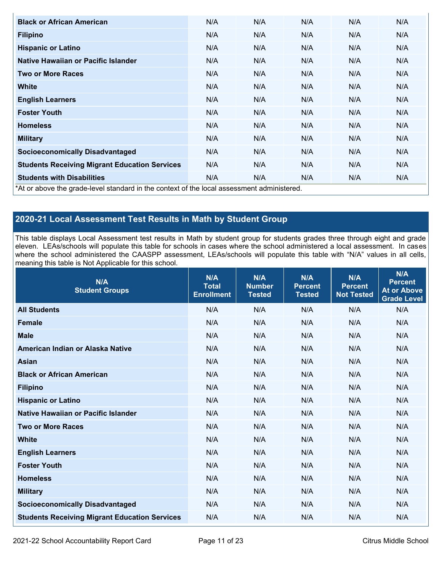| <b>Black or African American</b>                                                           | N/A | N/A | N/A | N/A | N/A |
|--------------------------------------------------------------------------------------------|-----|-----|-----|-----|-----|
| <b>Filipino</b>                                                                            | N/A | N/A | N/A | N/A | N/A |
| <b>Hispanic or Latino</b>                                                                  | N/A | N/A | N/A | N/A | N/A |
| Native Hawaiian or Pacific Islander                                                        | N/A | N/A | N/A | N/A | N/A |
| <b>Two or More Races</b>                                                                   | N/A | N/A | N/A | N/A | N/A |
| <b>White</b>                                                                               | N/A | N/A | N/A | N/A | N/A |
| <b>English Learners</b>                                                                    | N/A | N/A | N/A | N/A | N/A |
| <b>Foster Youth</b>                                                                        | N/A | N/A | N/A | N/A | N/A |
| <b>Homeless</b>                                                                            | N/A | N/A | N/A | N/A | N/A |
| <b>Military</b>                                                                            | N/A | N/A | N/A | N/A | N/A |
| <b>Socioeconomically Disadvantaged</b>                                                     | N/A | N/A | N/A | N/A | N/A |
| <b>Students Receiving Migrant Education Services</b>                                       | N/A | N/A | N/A | N/A | N/A |
| <b>Students with Disabilities</b>                                                          | N/A | N/A | N/A | N/A | N/A |
| *At or above the grade-level standard in the context of the local assessment administered. |     |     |     |     |     |

## **2020-21 Local Assessment Test Results in Math by Student Group**

This table displays Local Assessment test results in Math by student group for students grades three through eight and grade eleven. LEAs/schools will populate this table for schools in cases where the school administered a local assessment. In cases where the school administered the CAASPP assessment, LEAs/schools will populate this table with "N/A" values in all cells, meaning this table is Not Applicable for this school.

| N/A<br><b>Student Groups</b>                         | N/A<br><b>Total</b><br><b>Enrollment</b> | N/A<br><b>Number</b><br><b>Tested</b> | N/A<br><b>Percent</b><br><b>Tested</b> | N/A<br><b>Percent</b><br><b>Not Tested</b> | N/A<br><b>Percent</b><br><b>At or Above</b><br><b>Grade Level</b> |
|------------------------------------------------------|------------------------------------------|---------------------------------------|----------------------------------------|--------------------------------------------|-------------------------------------------------------------------|
| <b>All Students</b>                                  | N/A                                      | N/A                                   | N/A                                    | N/A                                        | N/A                                                               |
| <b>Female</b>                                        | N/A                                      | N/A                                   | N/A                                    | N/A                                        | N/A                                                               |
| <b>Male</b>                                          | N/A                                      | N/A                                   | N/A                                    | N/A                                        | N/A                                                               |
| American Indian or Alaska Native                     | N/A                                      | N/A                                   | N/A                                    | N/A                                        | N/A                                                               |
| <b>Asian</b>                                         | N/A                                      | N/A                                   | N/A                                    | N/A                                        | N/A                                                               |
| <b>Black or African American</b>                     | N/A                                      | N/A                                   | N/A                                    | N/A                                        | N/A                                                               |
| <b>Filipino</b>                                      | N/A                                      | N/A                                   | N/A                                    | N/A                                        | N/A                                                               |
| <b>Hispanic or Latino</b>                            | N/A                                      | N/A                                   | N/A                                    | N/A                                        | N/A                                                               |
| Native Hawaiian or Pacific Islander                  | N/A                                      | N/A                                   | N/A                                    | N/A                                        | N/A                                                               |
| <b>Two or More Races</b>                             | N/A                                      | N/A                                   | N/A                                    | N/A                                        | N/A                                                               |
| <b>White</b>                                         | N/A                                      | N/A                                   | N/A                                    | N/A                                        | N/A                                                               |
| <b>English Learners</b>                              | N/A                                      | N/A                                   | N/A                                    | N/A                                        | N/A                                                               |
| <b>Foster Youth</b>                                  | N/A                                      | N/A                                   | N/A                                    | N/A                                        | N/A                                                               |
| <b>Homeless</b>                                      | N/A                                      | N/A                                   | N/A                                    | N/A                                        | N/A                                                               |
| <b>Military</b>                                      | N/A                                      | N/A                                   | N/A                                    | N/A                                        | N/A                                                               |
| <b>Socioeconomically Disadvantaged</b>               | N/A                                      | N/A                                   | N/A                                    | N/A                                        | N/A                                                               |
| <b>Students Receiving Migrant Education Services</b> | N/A                                      | N/A                                   | N/A                                    | N/A                                        | N/A                                                               |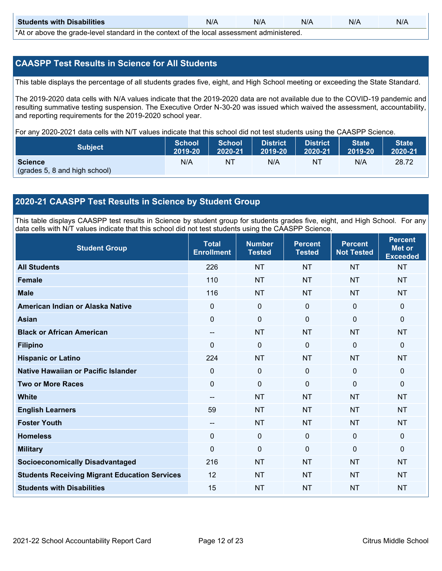| <b>Students with Disabilities</b>                                                           | N/A | N/A | N/A | N/A | N/A |  |  |  |  |
|---------------------------------------------------------------------------------------------|-----|-----|-----|-----|-----|--|--|--|--|
| *At as above the escale level standard in the context of the local accordinate admissioned. |     |     |     |     |     |  |  |  |  |

\*At or above the grade-level standard in the context of the local assessment administered.

#### **CAASPP Test Results in Science for All Students**

This table displays the percentage of all students grades five, eight, and High School meeting or exceeding the State Standard.

The 2019-2020 data cells with N/A values indicate that the 2019-2020 data are not available due to the COVID-19 pandemic and resulting summative testing suspension. The Executive Order N-30-20 was issued which waived the assessment, accountability, and reporting requirements for the 2019-2020 school year.

For any 2020-2021 data cells with N/T values indicate that this school did not test students using the CAASPP Science.

| <b>Subject</b>                                  | <b>School</b> | <b>School</b> | <b>District</b> | District | <b>State</b> | <b>State</b> |
|-------------------------------------------------|---------------|---------------|-----------------|----------|--------------|--------------|
|                                                 | 2019-20       | 2020-21       | 2019-20         | 2020-21  | 2019-20      | 2020-21      |
| <b>Science</b><br>(grades 5, 8 and high school) | N/A           | ΝT            | N/A             | NT       | N/A          | 28.72        |

#### **2020-21 CAASPP Test Results in Science by Student Group**

This table displays CAASPP test results in Science by student group for students grades five, eight, and High School. For any data cells with N/T values indicate that this school did not test students using the CAASPP Science.

| <b>Student Group</b>                                 | <b>Total</b><br><b>Enrollment</b>     | <b>Number</b><br><b>Tested</b> | <b>Percent</b><br><b>Tested</b> | <b>Percent</b><br><b>Not Tested</b> | <b>Percent</b><br><b>Met or</b><br><b>Exceeded</b> |
|------------------------------------------------------|---------------------------------------|--------------------------------|---------------------------------|-------------------------------------|----------------------------------------------------|
| <b>All Students</b>                                  | 226                                   | <b>NT</b>                      | <b>NT</b>                       | <b>NT</b>                           | <b>NT</b>                                          |
| <b>Female</b>                                        | 110                                   | <b>NT</b>                      | <b>NT</b>                       | <b>NT</b>                           | <b>NT</b>                                          |
| <b>Male</b>                                          | 116                                   | <b>NT</b>                      | <b>NT</b>                       | <b>NT</b>                           | <b>NT</b>                                          |
| American Indian or Alaska Native                     | 0                                     | $\mathbf 0$                    | $\mathbf 0$                     | $\mathbf 0$                         | $\mathbf{0}$                                       |
| <b>Asian</b>                                         | $\mathbf 0$                           | $\mathbf 0$                    | $\mathbf 0$                     | $\mathbf 0$                         | $\mathbf{0}$                                       |
| <b>Black or African American</b>                     | $\qquad \qquad -$                     | <b>NT</b>                      | <b>NT</b>                       | <b>NT</b>                           | <b>NT</b>                                          |
| <b>Filipino</b>                                      | 0                                     | $\mathbf 0$                    | $\mathbf{0}$                    | $\mathbf{0}$                        | $\mathbf 0$                                        |
| <b>Hispanic or Latino</b>                            | 224                                   | <b>NT</b>                      | <b>NT</b>                       | <b>NT</b>                           | <b>NT</b>                                          |
| Native Hawaiian or Pacific Islander                  | 0                                     | $\mathbf 0$                    | $\mathbf{0}$                    | $\mathbf 0$                         | $\mathbf{0}$                                       |
| <b>Two or More Races</b>                             | $\Omega$                              | $\mathbf 0$                    | $\Omega$                        | $\mathbf{0}$                        | $\mathbf{0}$                                       |
| <b>White</b>                                         | $\hspace{0.05cm}$ – $\hspace{0.05cm}$ | <b>NT</b>                      | <b>NT</b>                       | <b>NT</b>                           | <b>NT</b>                                          |
| <b>English Learners</b>                              | 59                                    | <b>NT</b>                      | <b>NT</b>                       | <b>NT</b>                           | <b>NT</b>                                          |
| <b>Foster Youth</b>                                  | $-$                                   | <b>NT</b>                      | <b>NT</b>                       | <b>NT</b>                           | <b>NT</b>                                          |
| <b>Homeless</b>                                      | 0                                     | $\mathbf{0}$                   | $\mathbf 0$                     | $\mathbf 0$                         | $\mathbf 0$                                        |
| <b>Military</b>                                      | 0                                     | $\mathbf 0$                    | $\mathbf{0}$                    | $\mathbf{0}$                        | $\mathbf{0}$                                       |
| <b>Socioeconomically Disadvantaged</b>               | 216                                   | <b>NT</b>                      | <b>NT</b>                       | <b>NT</b>                           | <b>NT</b>                                          |
| <b>Students Receiving Migrant Education Services</b> | 12                                    | <b>NT</b>                      | <b>NT</b>                       | <b>NT</b>                           | <b>NT</b>                                          |
| <b>Students with Disabilities</b>                    | 15                                    | <b>NT</b>                      | <b>NT</b>                       | <b>NT</b>                           | <b>NT</b>                                          |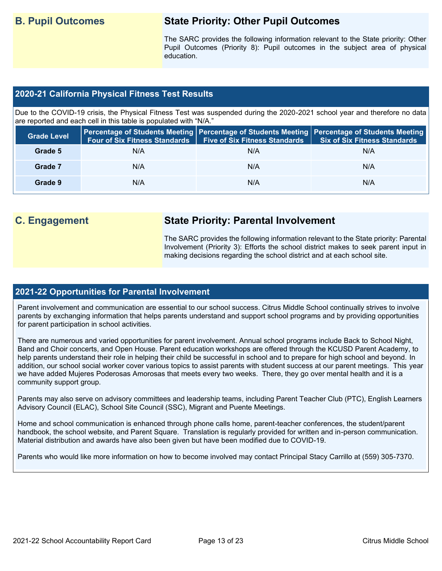## **B. Pupil Outcomes State Priority: Other Pupil Outcomes**

The SARC provides the following information relevant to the State priority: Other Pupil Outcomes (Priority 8): Pupil outcomes in the subject area of physical education.

#### **2020-21 California Physical Fitness Test Results**

Due to the COVID-19 crisis, the Physical Fitness Test was suspended during the 2020-2021 school year and therefore no data are reported and each cell in this table is populated with "N/A."

| <b>Grade Level</b> | <b>Four of Six Fitness Standards</b> | <b>Five of Six Fitness Standards</b> | Percentage of Students Meeting   Percentage of Students Meeting   Percentage of Students Meeting  <br><b>Six of Six Fitness Standards</b> |
|--------------------|--------------------------------------|--------------------------------------|-------------------------------------------------------------------------------------------------------------------------------------------|
| Grade 5            | N/A                                  | N/A                                  | N/A                                                                                                                                       |
| Grade 7            | N/A                                  | N/A                                  | N/A                                                                                                                                       |
| Grade 9            | N/A                                  | N/A                                  | N/A                                                                                                                                       |

## **C. Engagement State Priority: Parental Involvement**

The SARC provides the following information relevant to the State priority: Parental Involvement (Priority 3): Efforts the school district makes to seek parent input in making decisions regarding the school district and at each school site.

#### **2021-22 Opportunities for Parental Involvement**

Parent involvement and communication are essential to our school success. Citrus Middle School continually strives to involve parents by exchanging information that helps parents understand and support school programs and by providing opportunities for parent participation in school activities.

There are numerous and varied opportunities for parent involvement. Annual school programs include Back to School Night, Band and Choir concerts, and Open House. Parent education workshops are offered through the KCUSD Parent Academy, to help parents understand their role in helping their child be successful in school and to prepare for high school and beyond. In addition, our school social worker cover various topics to assist parents with student success at our parent meetings. This year we have added Mujeres Poderosas Amorosas that meets every two weeks. There, they go over mental health and it is a community support group.

Parents may also serve on advisory committees and leadership teams, including Parent Teacher Club (PTC), English Learners Advisory Council (ELAC), School Site Council (SSC), Migrant and Puente Meetings.

Home and school communication is enhanced through phone calls home, parent-teacher conferences, the student/parent handbook, the school website, and Parent Square. Translation is regularly provided for written and in-person communication. Material distribution and awards have also been given but have been modified due to COVID-19.

Parents who would like more information on how to become involved may contact Principal Stacy Carrillo at (559) 305-7370.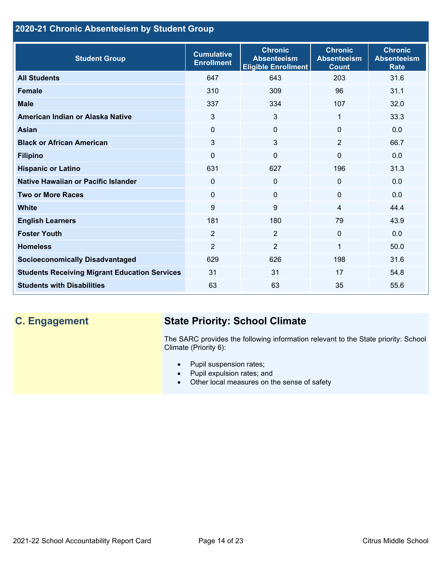## **2020-21 Chronic Absenteeism by Student Group**

| <b>Student Group</b>                                 | <b>Cumulative</b><br><b>Enrollment</b> | <b>Chronic</b><br><b>Absenteeism</b><br><b>Eligible Enrollment</b> | <b>Chronic</b><br><b>Absenteeism</b><br><b>Count</b> | <b>Chronic</b><br><b>Absenteeism</b><br><b>Rate</b> |
|------------------------------------------------------|----------------------------------------|--------------------------------------------------------------------|------------------------------------------------------|-----------------------------------------------------|
| <b>All Students</b>                                  | 647                                    | 643                                                                | 203                                                  | 31.6                                                |
| <b>Female</b>                                        | 310                                    | 309                                                                | 96                                                   | 31.1                                                |
| <b>Male</b>                                          | 337                                    | 334                                                                | 107                                                  | 32.0                                                |
| American Indian or Alaska Native                     | 3                                      | 3                                                                  | 1                                                    | 33.3                                                |
| <b>Asian</b>                                         | $\Omega$                               | $\Omega$                                                           | $\Omega$                                             | 0.0                                                 |
| <b>Black or African American</b>                     | 3                                      | 3                                                                  | $\overline{2}$                                       | 66.7                                                |
| <b>Filipino</b>                                      | 0                                      | $\mathbf 0$                                                        | $\Omega$                                             | 0.0                                                 |
| <b>Hispanic or Latino</b>                            | 631                                    | 627                                                                | 196                                                  | 31.3                                                |
| Native Hawaiian or Pacific Islander                  | 0                                      | $\mathbf 0$                                                        | $\mathbf 0$                                          | 0.0                                                 |
| <b>Two or More Races</b>                             | $\Omega$                               | $\mathbf{0}$                                                       | $\Omega$                                             | 0.0                                                 |
| <b>White</b>                                         | 9                                      | 9                                                                  | 4                                                    | 44.4                                                |
| <b>English Learners</b>                              | 181                                    | 180                                                                | 79                                                   | 43.9                                                |
| <b>Foster Youth</b>                                  | $\overline{2}$                         | $\overline{2}$                                                     | $\Omega$                                             | 0.0                                                 |
| <b>Homeless</b>                                      | $\overline{2}$                         | $\overline{2}$                                                     | 1                                                    | 50.0                                                |
| <b>Socioeconomically Disadvantaged</b>               | 629                                    | 626                                                                | 198                                                  | 31.6                                                |
| <b>Students Receiving Migrant Education Services</b> | 31                                     | 31                                                                 | 17                                                   | 54.8                                                |
| <b>Students with Disabilities</b>                    | 63                                     | 63                                                                 | 35                                                   | 55.6                                                |

## **C. Engagement State Priority: School Climate**

The SARC provides the following information relevant to the State priority: School Climate (Priority 6):

- Pupil suspension rates;
- Pupil expulsion rates; and
- Other local measures on the sense of safety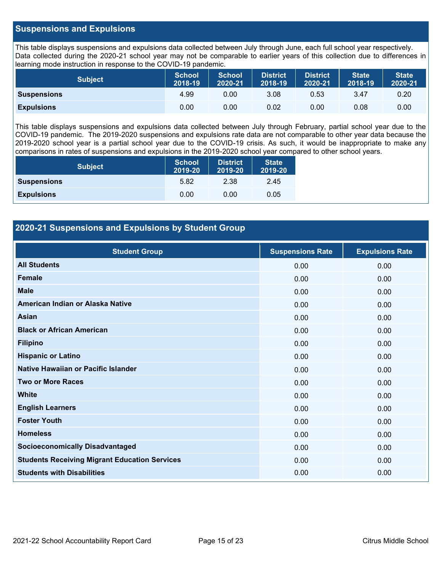#### **Suspensions and Expulsions**

This table displays suspensions and expulsions data collected between July through June, each full school year respectively. Data collected during the 2020-21 school year may not be comparable to earlier years of this collection due to differences in learning mode instruction in response to the COVID-19 pandemic.

| <b>Subject</b>     | <b>School</b><br>2018-19 | <b>School</b><br>2020-21 | <b>District</b><br>2018-19 | <b>District</b><br>2020-21 | <b>State</b><br>2018-19 | <b>State</b><br>2020-21 |
|--------------------|--------------------------|--------------------------|----------------------------|----------------------------|-------------------------|-------------------------|
| <b>Suspensions</b> | 4.99                     | 0.00                     | 3.08                       | 0.53                       | 3.47                    | 0.20                    |
| <b>Expulsions</b>  | 0.00                     | 0.00                     | 0.02                       | 0.00                       | 0.08                    | 0.00                    |

This table displays suspensions and expulsions data collected between July through February, partial school year due to the COVID-19 pandemic. The 2019-2020 suspensions and expulsions rate data are not comparable to other year data because the 2019-2020 school year is a partial school year due to the COVID-19 crisis. As such, it would be inappropriate to make any comparisons in rates of suspensions and expulsions in the 2019-2020 school year compared to other school years.

| <b>Subject</b>     | School<br>2019-20 | <b>District</b><br>2019-20 | <b>State</b><br>2019-20 |
|--------------------|-------------------|----------------------------|-------------------------|
| <b>Suspensions</b> | 5.82              | 2.38                       | 2.45                    |
| <b>Expulsions</b>  | 0.00              | 0.00                       | 0.05                    |

#### **2020-21 Suspensions and Expulsions by Student Group**

| <b>Student Group</b>                                 | <b>Suspensions Rate</b> | <b>Expulsions Rate</b> |
|------------------------------------------------------|-------------------------|------------------------|
| <b>All Students</b>                                  | 0.00                    | 0.00                   |
| <b>Female</b>                                        | 0.00                    | 0.00                   |
| <b>Male</b>                                          | 0.00                    | 0.00                   |
| American Indian or Alaska Native                     | 0.00                    | 0.00                   |
| <b>Asian</b>                                         | 0.00                    | 0.00                   |
| <b>Black or African American</b>                     | 0.00                    | 0.00                   |
| <b>Filipino</b>                                      | 0.00                    | 0.00                   |
| <b>Hispanic or Latino</b>                            | 0.00                    | 0.00                   |
| Native Hawaiian or Pacific Islander                  | 0.00                    | 0.00                   |
| <b>Two or More Races</b>                             | 0.00                    | 0.00                   |
| <b>White</b>                                         | 0.00                    | 0.00                   |
| <b>English Learners</b>                              | 0.00                    | 0.00                   |
| <b>Foster Youth</b>                                  | 0.00                    | 0.00                   |
| <b>Homeless</b>                                      | 0.00                    | 0.00                   |
| <b>Socioeconomically Disadvantaged</b>               | 0.00                    | 0.00                   |
| <b>Students Receiving Migrant Education Services</b> | 0.00                    | 0.00                   |
| <b>Students with Disabilities</b>                    | 0.00                    | 0.00                   |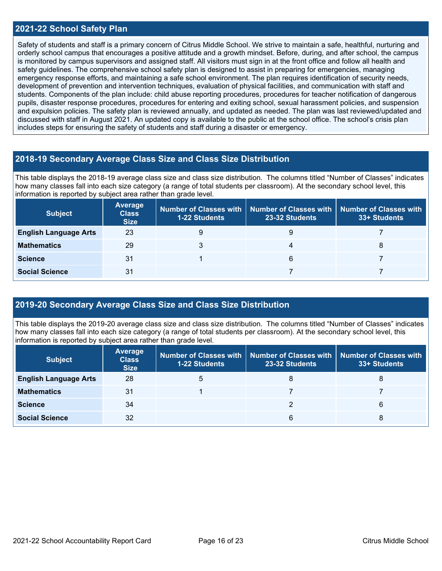#### **2021-22 School Safety Plan**

Safety of students and staff is a primary concern of Citrus Middle School. We strive to maintain a safe, healthful, nurturing and orderly school campus that encourages a positive attitude and a growth mindset. Before, during, and after school, the campus is monitored by campus supervisors and assigned staff. All visitors must sign in at the front office and follow all health and safety guidelines. The comprehensive school safety plan is designed to assist in preparing for emergencies, managing emergency response efforts, and maintaining a safe school environment. The plan requires identification of security needs, development of prevention and intervention techniques, evaluation of physical facilities, and communication with staff and students. Components of the plan include: child abuse reporting procedures, procedures for teacher notification of dangerous pupils, disaster response procedures, procedures for entering and exiting school, sexual harassment policies, and suspension and expulsion policies. The safety plan is reviewed annually, and updated as needed. The plan was last reviewed/updated and discussed with staff in August 2021. An updated copy is available to the public at the school office. The school's crisis plan includes steps for ensuring the safety of students and staff during a disaster or emergency.

#### **2018-19 Secondary Average Class Size and Class Size Distribution**

This table displays the 2018-19 average class size and class size distribution. The columns titled "Number of Classes" indicates how many classes fall into each size category (a range of total students per classroom). At the secondary school level, this information is reported by subject area rather than grade level.

| <b>Subject</b>               | Average<br><b>Class</b><br><b>Size</b> | <b>1-22 Students</b> | Number of Classes with   Number of Classes with   Number of Classes with<br>23-32 Students | 33+ Students |
|------------------------------|----------------------------------------|----------------------|--------------------------------------------------------------------------------------------|--------------|
| <b>English Language Arts</b> | 23                                     |                      | 9                                                                                          |              |
| <b>Mathematics</b>           | 29                                     |                      | 4                                                                                          | 8            |
| <b>Science</b>               | 31                                     |                      | 6                                                                                          |              |
| <b>Social Science</b>        | 31                                     |                      |                                                                                            |              |

#### **2019-20 Secondary Average Class Size and Class Size Distribution**

This table displays the 2019-20 average class size and class size distribution. The columns titled "Number of Classes" indicates how many classes fall into each size category (a range of total students per classroom). At the secondary school level, this information is reported by subject area rather than grade level.

| <b>Subject</b>               | <b>Average</b><br><b>Class</b><br><b>Size</b> | <b>1-22 Students</b> | Number of Classes with   Number of Classes with<br>23-32 Students | <b>Number of Classes with</b><br>33+ Students |
|------------------------------|-----------------------------------------------|----------------------|-------------------------------------------------------------------|-----------------------------------------------|
| <b>English Language Arts</b> | 28                                            | 5                    |                                                                   | 8                                             |
| <b>Mathematics</b>           | 31                                            |                      |                                                                   |                                               |
| <b>Science</b>               | 34                                            |                      |                                                                   | 6                                             |
| <b>Social Science</b>        | 32                                            |                      | 6                                                                 | 8                                             |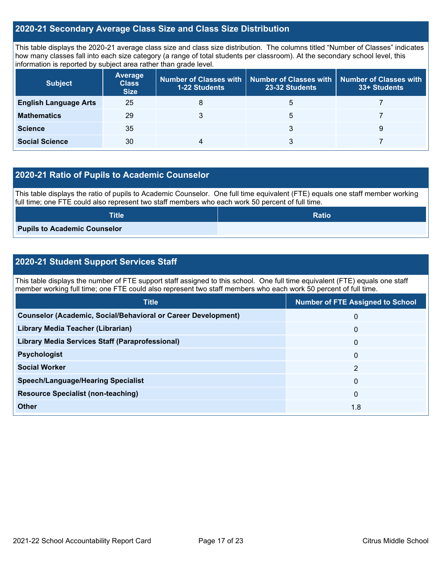#### **2020-21 Secondary Average Class Size and Class Size Distribution**

This table displays the 2020-21 average class size and class size distribution. The columns titled "Number of Classes" indicates how many classes fall into each size category (a range of total students per classroom). At the secondary school level, this information is reported by subject area rather than grade level.

| <b>Subject</b>               | <b>Average</b><br><b>Class</b><br><b>Size</b> | <b>1-22 Students</b> | Number of Classes with   Number of Classes with  <br>23-32 Students | Number of Classes with<br>33+ Students |
|------------------------------|-----------------------------------------------|----------------------|---------------------------------------------------------------------|----------------------------------------|
| <b>English Language Arts</b> | 25                                            | 8                    | b                                                                   |                                        |
| <b>Mathematics</b>           | 29                                            |                      | 5                                                                   |                                        |
| <b>Science</b>               | 35                                            |                      |                                                                     | 9                                      |
| <b>Social Science</b>        | 30                                            |                      |                                                                     |                                        |

#### **2020-21 Ratio of Pupils to Academic Counselor**

This table displays the ratio of pupils to Academic Counselor. One full time equivalent (FTE) equals one staff member working full time; one FTE could also represent two staff members who each work 50 percent of full time.

| <b>Title</b>                        | <b>Ratio</b> |
|-------------------------------------|--------------|
| <b>Pupils to Academic Counselor</b> |              |

### **2020-21 Student Support Services Staff**

This table displays the number of FTE support staff assigned to this school. One full time equivalent (FTE) equals one staff member working full time; one FTE could also represent two staff members who each work 50 percent of full time.

| <b>Title</b>                                                         | <b>Number of FTE Assigned to School</b> |
|----------------------------------------------------------------------|-----------------------------------------|
| <b>Counselor (Academic, Social/Behavioral or Career Development)</b> | 0                                       |
| Library Media Teacher (Librarian)                                    | $\mathbf 0$                             |
| <b>Library Media Services Staff (Paraprofessional)</b>               | $\mathbf{0}$                            |
| <b>Psychologist</b>                                                  | $\mathbf{0}$                            |
| <b>Social Worker</b>                                                 | 2                                       |
| <b>Speech/Language/Hearing Specialist</b>                            | $\Omega$                                |
| <b>Resource Specialist (non-teaching)</b>                            | $\mathbf{0}$                            |
| <b>Other</b>                                                         | 1.8                                     |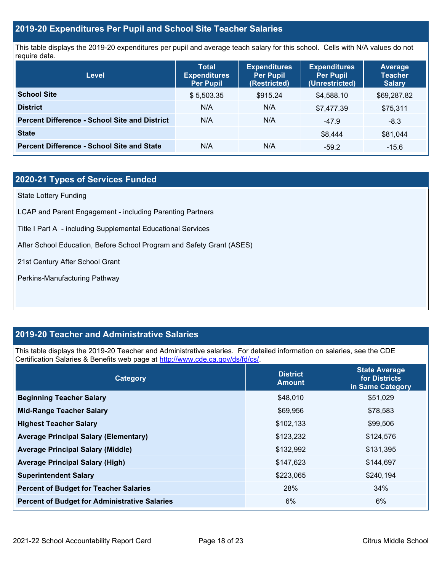#### **2019-20 Expenditures Per Pupil and School Site Teacher Salaries**

This table displays the 2019-20 expenditures per pupil and average teach salary for this school. Cells with N/A values do not require data.

| Level                                                | <b>Total</b><br><b>Expenditures</b><br><b>Per Pupil</b> | <b>Expenditures</b><br><b>Per Pupil</b><br>(Restricted) | <b>Expenditures</b><br><b>Per Pupil</b><br>(Unrestricted) | <b>Average</b><br><b>Teacher</b><br><b>Salary</b> |
|------------------------------------------------------|---------------------------------------------------------|---------------------------------------------------------|-----------------------------------------------------------|---------------------------------------------------|
| <b>School Site</b>                                   | \$5,503.35                                              | \$915.24                                                | \$4,588.10                                                | \$69,287.82                                       |
| <b>District</b>                                      | N/A                                                     | N/A                                                     | \$7,477.39                                                | \$75,311                                          |
| <b>Percent Difference - School Site and District</b> | N/A                                                     | N/A                                                     | $-47.9$                                                   | $-8.3$                                            |
| <b>State</b>                                         |                                                         |                                                         | \$8.444                                                   | \$81.044                                          |
| <b>Percent Difference - School Site and State</b>    | N/A                                                     | N/A                                                     | $-59.2$                                                   | $-15.6$                                           |

### **2020-21 Types of Services Funded**

State Lottery Funding

LCAP and Parent Engagement - including Parenting Partners

Title I Part A - including Supplemental Educational Services

After School Education, Before School Program and Safety Grant (ASES)

21st Century After School Grant

Perkins-Manufacturing Pathway

#### **2019-20 Teacher and Administrative Salaries**

This table displays the 2019-20 Teacher and Administrative salaries. For detailed information on salaries, see the CDE Certification Salaries & Benefits web page at [http://www.cde.ca.gov/ds/fd/cs/.](http://www.cde.ca.gov/ds/fd/cs/)

| Category                                             | <b>District</b><br><b>Amount</b> | <b>State Average</b><br>for Districts<br>in Same Category |
|------------------------------------------------------|----------------------------------|-----------------------------------------------------------|
| <b>Beginning Teacher Salary</b>                      | \$48,010                         | \$51,029                                                  |
| <b>Mid-Range Teacher Salary</b>                      | \$69,956                         | \$78,583                                                  |
| <b>Highest Teacher Salary</b>                        | \$102,133                        | \$99,506                                                  |
| <b>Average Principal Salary (Elementary)</b>         | \$123,232                        | \$124,576                                                 |
| <b>Average Principal Salary (Middle)</b>             | \$132,992                        | \$131,395                                                 |
| <b>Average Principal Salary (High)</b>               | \$147,623                        | \$144,697                                                 |
| <b>Superintendent Salary</b>                         | \$223,065                        | \$240,194                                                 |
| <b>Percent of Budget for Teacher Salaries</b>        | 28%                              | 34%                                                       |
| <b>Percent of Budget for Administrative Salaries</b> | 6%                               | 6%                                                        |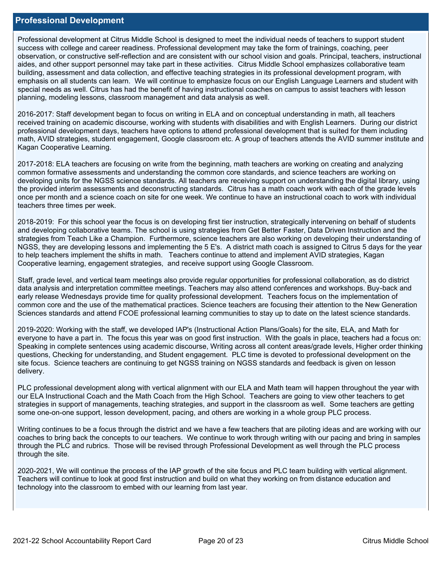#### **Professional Development**

Professional development at Citrus Middle School is designed to meet the individual needs of teachers to support student success with college and career readiness. Professional development may take the form of trainings, coaching, peer observation, or constructive self-reflection and are consistent with our school vision and goals. Principal, teachers, instructional aides, and other support personnel may take part in these activities. Citrus Middle School emphasizes collaborative team building, assessment and data collection, and effective teaching strategies in its professional development program, with emphasis on all students can learn. We will continue to emphasize focus on our English Language Learners and student with special needs as well. Citrus has had the benefit of having instructional coaches on campus to assist teachers with lesson planning, modeling lessons, classroom management and data analysis as well.

2016-2017: Staff development began to focus on writing in ELA and on conceptual understanding in math, all teachers received training on academic discourse, working with students with disabilities and with English Learners. During our district professional development days, teachers have options to attend professional development that is suited for them including math, AVID strategies, student engagement, Google classroom etc. A group of teachers attends the AVID summer institute and Kagan Cooperative Learning.

2017-2018: ELA teachers are focusing on write from the beginning, math teachers are working on creating and analyzing common formative assessments and understanding the common core standards, and science teachers are working on developing units for the NGSS science standards. All teachers are receiving support on understanding the digital library, using the provided interim assessments and deconstructing standards. Citrus has a math coach work with each of the grade levels once per month and a science coach on site for one week. We continue to have an instructional coach to work with individual teachers three times per week.

2018-2019: For this school year the focus is on developing first tier instruction, strategically intervening on behalf of students and developing collaborative teams. The school is using strategies from Get Better Faster, Data Driven Instruction and the strategies from Teach Like a Champion. Furthermore, science teachers are also working on developing their understanding of NGSS, they are developing lessons and implementing the 5 E's. A district math coach is assigned to Citrus 5 days for the year to help teachers implement the shifts in math. Teachers continue to attend and implement AVID strategies, Kagan Cooperative learning, engagement strategies, and receive support using Google Classroom.

Staff, grade level, and vertical team meetings also provide regular opportunities for professional collaboration, as do district data analysis and interpretation committee meetings. Teachers may also attend conferences and workshops. Buy-back and early release Wednesdays provide time for quality professional development. Teachers focus on the implementation of common core and the use of the mathematical practices. Science teachers are focusing their attention to the New Generation Sciences standards and attend FCOE professional learning communities to stay up to date on the latest science standards.

2019-2020: Working with the staff, we developed IAP's (Instructional Action Plans/Goals) for the site, ELA, and Math for everyone to have a part in. The focus this year was on good first instruction. With the goals in place, teachers had a focus on: Speaking in complete sentences using academic discourse, Writing across all content areas/grade levels, Higher order thinking questions, Checking for understanding, and Student engagement. PLC time is devoted to professional development on the site focus. Science teachers are continuing to get NGSS training on NGSS standards and feedback is given on lesson delivery.

PLC professional development along with vertical alignment with our ELA and Math team will happen throughout the year with our ELA Instructional Coach and the Math Coach from the High School. Teachers are going to view other teachers to get strategies in support of managements, teaching strategies, and support in the classroom as well. Some teachers are getting some one-on-one support, lesson development, pacing, and others are working in a whole group PLC process.

Writing continues to be a focus through the district and we have a few teachers that are piloting ideas and are working with our coaches to bring back the concepts to our teachers. We continue to work through writing with our pacing and bring in samples through the PLC and rubrics. Those will be revised through Professional Development as well through the PLC process through the site.

2020-2021, We will continue the process of the IAP growth of the site focus and PLC team building with vertical alignment. Teachers will continue to look at good first instruction and build on what they working on from distance education and technology into the classroom to embed with our learning from last year.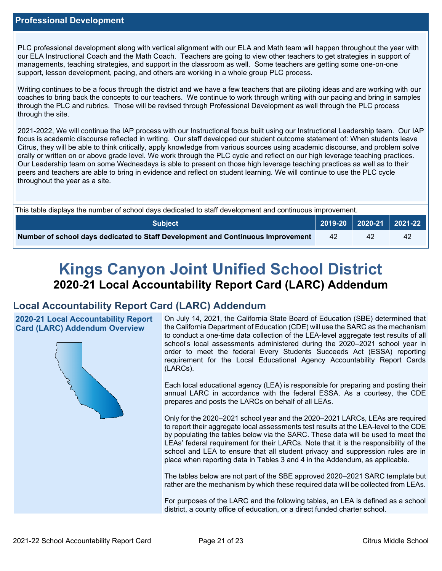PLC professional development along with vertical alignment with our ELA and Math team will happen throughout the year with our ELA Instructional Coach and the Math Coach. Teachers are going to view other teachers to get strategies in support of managements, teaching strategies, and support in the classroom as well. Some teachers are getting some one-on-one support, lesson development, pacing, and others are working in a whole group PLC process.

Writing continues to be a focus through the district and we have a few teachers that are piloting ideas and are working with our coaches to bring back the concepts to our teachers. We continue to work through writing with our pacing and bring in samples through the PLC and rubrics. Those will be revised through Professional Development as well through the PLC process through the site.

2021-2022, We will continue the IAP process with our Instructional focus built using our Instructional Leadership team. Our IAP focus is academic discourse reflected in writing. Our staff developed our student outcome statement of: When students leave Citrus, they will be able to think critically, apply knowledge from various sources using academic discourse, and problem solve orally or written on or above grade level. We work through the PLC cycle and reflect on our high leverage teaching practices. Our Leadership team on some Wednesdays is able to present on those high leverage teaching practices as well as to their peers and teachers are able to bring in evidence and reflect on student learning. We will continue to use the PLC cycle throughout the year as a site.

| This table displays the number of school days dedicated to staff development and continuous improvement. |    |    |    |  |  |
|----------------------------------------------------------------------------------------------------------|----|----|----|--|--|
| │ 2019-20 │ 2020-21 │ 2021-22 │<br><b>Subiect</b>                                                        |    |    |    |  |  |
| Number of school days dedicated to Staff Development and Continuous Improvement                          | 42 | 42 | 42 |  |  |

# **Kings Canyon Joint Unified School District 2020-21 Local Accountability Report Card (LARC) Addendum**

## **Local Accountability Report Card (LARC) Addendum**

**2020-21 Local Accountability Report Card (LARC) Addendum Overview**



On July 14, 2021, the California State Board of Education (SBE) determined that the California Department of Education (CDE) will use the SARC as the mechanism to conduct a one-time data collection of the LEA-level aggregate test results of all school's local assessments administered during the 2020–2021 school year in order to meet the federal Every Students Succeeds Act (ESSA) reporting requirement for the Local Educational Agency Accountability Report Cards (LARCs).

Each local educational agency (LEA) is responsible for preparing and posting their annual LARC in accordance with the federal ESSA. As a courtesy, the CDE prepares and posts the LARCs on behalf of all LEAs.

Only for the 2020–2021 school year and the 2020–2021 LARCs, LEAs are required to report their aggregate local assessments test results at the LEA-level to the CDE by populating the tables below via the SARC. These data will be used to meet the LEAs' federal requirement for their LARCs. Note that it is the responsibility of the school and LEA to ensure that all student privacy and suppression rules are in place when reporting data in Tables 3 and 4 in the Addendum, as applicable.

The tables below are not part of the SBE approved 2020–2021 SARC template but rather are the mechanism by which these required data will be collected from LEAs.

For purposes of the LARC and the following tables, an LEA is defined as a school district, a county office of education, or a direct funded charter school.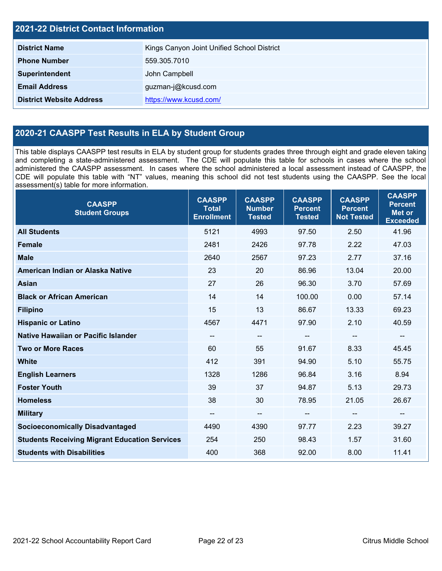| <b>2021-22 District Contact Information</b> |                                            |  |  |
|---------------------------------------------|--------------------------------------------|--|--|
| <b>District Name</b>                        | Kings Canyon Joint Unified School District |  |  |
| <b>Phone Number</b>                         | 559.305.7010                               |  |  |
| Superintendent                              | John Campbell                              |  |  |
| <b>Email Address</b><br>guzman-j@kcusd.com  |                                            |  |  |
| <b>District Website Address</b>             | https://www.kcusd.com/                     |  |  |

## **2020-21 CAASPP Test Results in ELA by Student Group**

This table displays CAASPP test results in ELA by student group for students grades three through eight and grade eleven taking and completing a state-administered assessment. The CDE will populate this table for schools in cases where the school administered the CAASPP assessment. In cases where the school administered a local assessment instead of CAASPP, the CDE will populate this table with "NT" values, meaning this school did not test students using the CAASPP. See the local assessment(s) table for more information.

| <b>CAASPP</b><br><b>Student Groups</b>               | <b>CAASPP</b><br><b>Total</b><br><b>Enrollment</b> | <b>CAASPP</b><br><b>Number</b><br><b>Tested</b> | <b>CAASPP</b><br><b>Percent</b><br><b>Tested</b> | <b>CAASPP</b><br><b>Percent</b><br><b>Not Tested</b> | <b>CAASPP</b><br><b>Percent</b><br><b>Met or</b><br><b>Exceeded</b> |
|------------------------------------------------------|----------------------------------------------------|-------------------------------------------------|--------------------------------------------------|------------------------------------------------------|---------------------------------------------------------------------|
| <b>All Students</b>                                  | 5121                                               | 4993                                            | 97.50                                            | 2.50                                                 | 41.96                                                               |
| <b>Female</b>                                        | 2481                                               | 2426                                            | 97.78                                            | 2.22                                                 | 47.03                                                               |
| <b>Male</b>                                          | 2640                                               | 2567                                            | 97.23                                            | 2.77                                                 | 37.16                                                               |
| American Indian or Alaska Native                     | 23                                                 | 20                                              | 86.96                                            | 13.04                                                | 20.00                                                               |
| <b>Asian</b>                                         | 27                                                 | 26                                              | 96.30                                            | 3.70                                                 | 57.69                                                               |
| <b>Black or African American</b>                     | 14                                                 | 14                                              | 100.00                                           | 0.00                                                 | 57.14                                                               |
| <b>Filipino</b>                                      | 15                                                 | 13                                              | 86.67                                            | 13.33                                                | 69.23                                                               |
| <b>Hispanic or Latino</b>                            | 4567                                               | 4471                                            | 97.90                                            | 2.10                                                 | 40.59                                                               |
| Native Hawaiian or Pacific Islander                  | $\qquad \qquad -$                                  | $\overline{\phantom{a}}$                        | --                                               | $\overline{\phantom{a}}$                             | $\sim$                                                              |
| <b>Two or More Races</b>                             | 60                                                 | 55                                              | 91.67                                            | 8.33                                                 | 45.45                                                               |
| <b>White</b>                                         | 412                                                | 391                                             | 94.90                                            | 5.10                                                 | 55.75                                                               |
| <b>English Learners</b>                              | 1328                                               | 1286                                            | 96.84                                            | 3.16                                                 | 8.94                                                                |
| <b>Foster Youth</b>                                  | 39                                                 | 37                                              | 94.87                                            | 5.13                                                 | 29.73                                                               |
| <b>Homeless</b>                                      | 38                                                 | 30                                              | 78.95                                            | 21.05                                                | 26.67                                                               |
| <b>Military</b>                                      | --                                                 | --                                              | --                                               | --                                                   | --                                                                  |
| <b>Socioeconomically Disadvantaged</b>               | 4490                                               | 4390                                            | 97.77                                            | 2.23                                                 | 39.27                                                               |
| <b>Students Receiving Migrant Education Services</b> | 254                                                | 250                                             | 98.43                                            | 1.57                                                 | 31.60                                                               |
| <b>Students with Disabilities</b>                    | 400                                                | 368                                             | 92.00                                            | 8.00                                                 | 11.41                                                               |